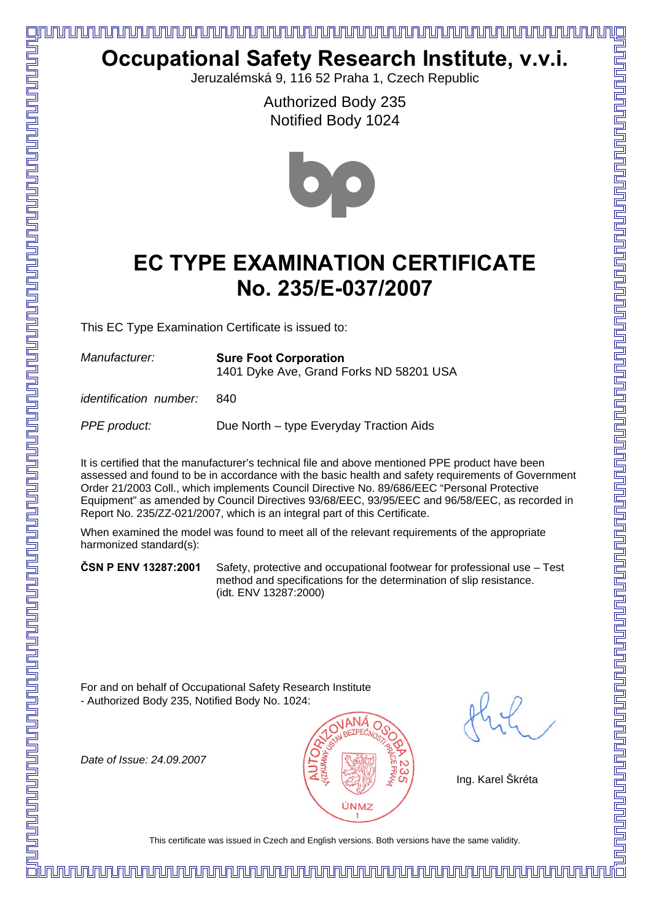## 

## **Occupational Safety Research Institute, v.v.i.**

Jeruzalémská 9, 116 52 Praha 1, Czech Republic

Authorized Body 235 Notified Body 1024



## **EC TYPE EXAMINATION CERTIFICATE No. 235/E-037/2007**

This EC Type Examination Certificate is issued to:

| acturer: | <b>Sure Foot Corporation</b>            |
|----------|-----------------------------------------|
|          | 1401 Dyke Ave, Grand Forks ND 58201 USA |

*identification number:* 840

*PPE product:* Due North – type Everyday Traction Aids

It is certified that the manufacturer's technical file and above mentioned PPE product have been assessed and found to be in accordance with the basic health and safety requirements of Government Order 21/2003 Coll., which implements Council Directive No. 89/686/EEC "Personal Protective Equipment" as amended by Council Directives 93/68/EEC, 93/95/EEC and 96/58/EEC, as recorded in Report No. 235/ZZ-021/2007, which is an integral part of this Certificate.

When examined the model was found to meet all of the relevant requirements of the appropriate harmonized standard(s):

**ČSN P ENV 13287:2001** Safety, protective and occupational footwear for professional use – Test method and specifications for the determination of slip resistance. (idt. ENV 13287:2000)

For and on behalf of Occupational Safety Research Institute - Authorized Body 235, Notified Body No. 1024:

*Date of Issue: 24.09.2007*



Ing. Karel Škréta

To stand in Certificate was issued in Care of the same values was issued in Care of Densions. Both versions have the same values of the same values of the same values of the same values for the same values of the same valu